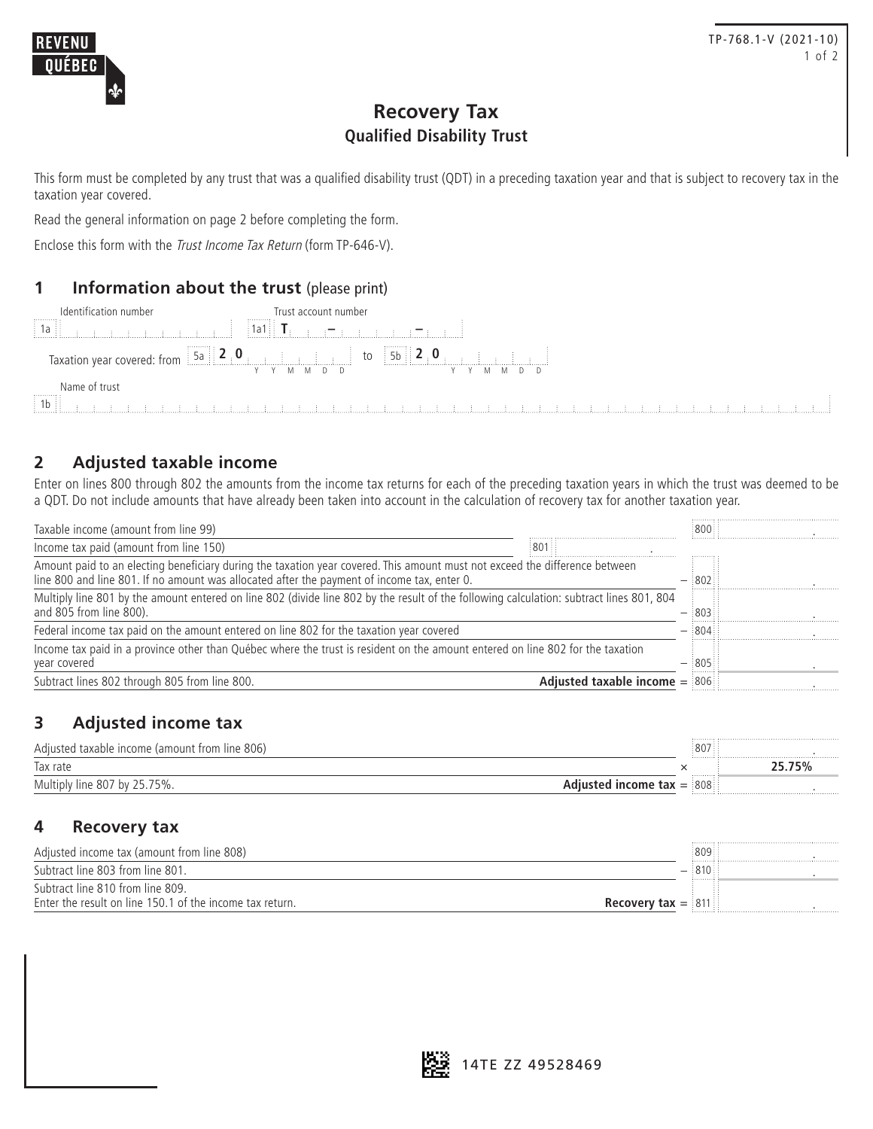## **Recovery Tax Qualified Disability Trust**

This form must be completed by any trust that was a qualified disability trust (QDT) in a preceding taxation year and that is subject to recovery tax in the taxation year covered.

Read the general information on page 2 before completing the form.

Enclose this form with the *Trust Income Tax Return* (form TP-646-V).

## **1 Information about the trust** (please print)

| Identification number<br>$\begin{bmatrix} 1 \\ 1 \\ 0 \end{bmatrix}$ | Trust account number<br>in a caracteristic                                                                                                                                                                                           |  |
|----------------------------------------------------------------------|--------------------------------------------------------------------------------------------------------------------------------------------------------------------------------------------------------------------------------------|--|
|                                                                      |                                                                                                                                                                                                                                      |  |
| Name of trust<br>$\sqrt{1}$                                          | <b>The district of the district of the district of the district of the district of the district of the district of the district of the district of the district of the district of the district of the district of the district </b> |  |

## **2 Adjusted taxable income**

Enter on lines 800 through 802 the amounts from the income tax returns for each of the preceding taxation years in which the trust was deemed to be a QDT. Do not include amounts that have already been taken into account in the calculation of recovery tax for another taxation year.

| Taxable income (amount from line 99)                                                                                                                                                                                       |                                 | 3800:3        |     |
|----------------------------------------------------------------------------------------------------------------------------------------------------------------------------------------------------------------------------|---------------------------------|---------------|-----|
| Income tax paid (amount from line 150)                                                                                                                                                                                     | 301                             |               |     |
| Amount paid to an electing beneficiary during the taxation year covered. This amount must not exceed the difference between<br>line 800 and line 801. If no amount was allocated after the payment of income tax, enter 0. |                                 | $-$ : 802 : : |     |
| Multiply line 801 by the amount entered on line 802 (divide line 802 by the result of the following calculation: subtract lines 801, 804<br>and 805 from line 800).                                                        |                                 |               | 803 |
| Federal income tax paid on the amount entered on line 802 for the taxation year covered                                                                                                                                    |                                 | 804           |     |
| Income tax paid in a province other than Québec where the trust is resident on the amount entered on line 802 for the taxation<br>year covered                                                                             |                                 |               |     |
| Subtract lines 802 through 805 from line 800.                                                                                                                                                                              | Adjusted taxable income $=$ 806 |               |     |

## **3 Adjusted income tax**

| Adjusted taxable income (amount from line 806) | :807::                         |  |
|------------------------------------------------|--------------------------------|--|
| Tax rate                                       |                                |  |
| Multiply line 807 by 25.<br>75%.               | 808<br>$l$ income tax $=$<br>. |  |

### **4 Recovery tax**

| Adjusted income tax (amount from line 808)               | 809                                    |  |
|----------------------------------------------------------|----------------------------------------|--|
| Subtract line 803 from line 801.                         | :810<br>                               |  |
| Subtract line 810 from line 809.                         |                                        |  |
| Enter the result on line 150.1 of the income tax return. | <b>Recovery tax = <math>811</math></b> |  |